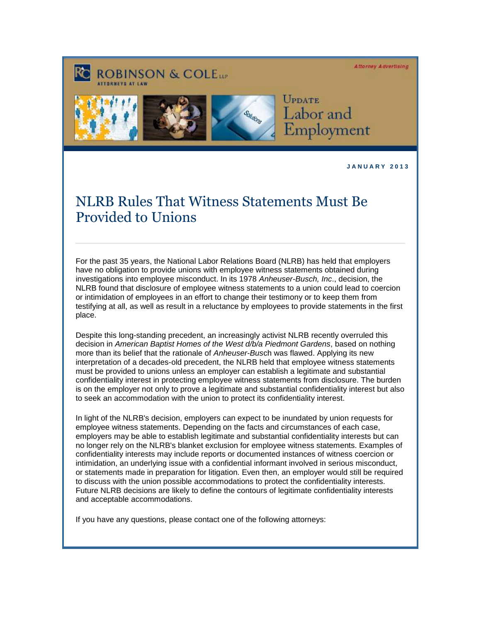**Attorney Advertising** 





UPDATE Labor and Employment

**J A N U A R Y 2 0 1 3** 

## NLRB Rules That Witness Statements Must Be Provided to Unions

For the past 35 years, the National Labor Relations Board (NLRB) has held that employers have no obligation to provide unions with employee witness statements obtained during investigations into employee misconduct. In its 1978 *Anheuser-Busch, Inc*., decision, the NLRB found that disclosure of employee witness statements to a union could lead to coercion or intimidation of employees in an effort to change their testimony or to keep them from testifying at all, as well as result in a reluctance by employees to provide statements in the first place.

Despite this long-standing precedent, an increasingly activist NLRB recently overruled this decision in *American Baptist Homes of the West d/b/a Piedmont Gardens*, based on nothing more than its belief that the rationale of *Anheuser-Bus*ch was flawed. Applying its new interpretation of a decades-old precedent, the NLRB held that employee witness statements must be provided to unions unless an employer can establish a legitimate and substantial confidentiality interest in protecting employee witness statements from disclosure. The burden is on the employer not only to prove a legitimate and substantial confidentiality interest but also to seek an accommodation with the union to protect its confidentiality interest.

In light of the NLRB's decision, employers can expect to be inundated by union requests for employee witness statements. Depending on the facts and circumstances of each case, employers may be able to establish legitimate and substantial confidentiality interests but can no longer rely on the NLRB's blanket exclusion for employee witness statements. Examples of confidentiality interests may include reports or documented instances of witness coercion or intimidation, an underlying issue with a confidential informant involved in serious misconduct, or statements made in preparation for litigation. Even then, an employer would still be required to discuss with the union possible accommodations to protect the confidentiality interests. Future NLRB decisions are likely to define the contours of legitimate confidentiality interests and acceptable accommodations.

If you have any questions, please contact one of the following attorneys: